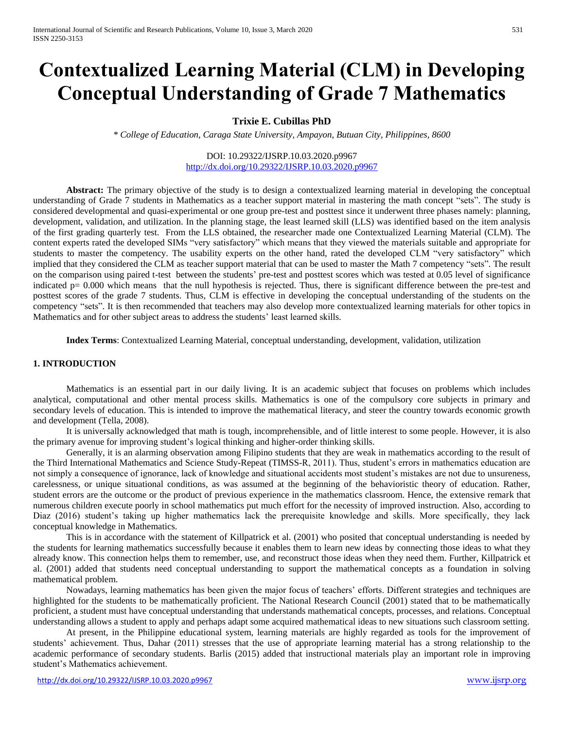# **Contextualized Learning Material (CLM) in Developing Conceptual Understanding of Grade 7 Mathematics**

# **Trixie E. Cubillas PhD**

*\* College of Education, Caraga State University, Ampayon, Butuan City, Philippines, 8600*

### DOI: 10.29322/IJSRP.10.03.2020.p9967 <http://dx.doi.org/10.29322/IJSRP.10.03.2020.p9967>

**Abstract:** The primary objective of the study is to design a contextualized learning material in developing the conceptual understanding of Grade 7 students in Mathematics as a teacher support material in mastering the math concept "sets". The study is considered developmental and quasi-experimental or one group pre-test and posttest since it underwent three phases namely: planning, development, validation, and utilization. In the planning stage, the least learned skill (LLS) was identified based on the item analysis of the first grading quarterly test. From the LLS obtained, the researcher made one Contextualized Learning Material (CLM). The content experts rated the developed SIMs "very satisfactory" which means that they viewed the materials suitable and appropriate for students to master the competency. The usability experts on the other hand, rated the developed CLM "very satisfactory" which implied that they considered the CLM as teacher support material that can be used to master the Math 7 competency "sets". The result on the comparison using paired t-test between the students' pre-test and posttest scores which was tested at 0.05 level of significance indicated p= 0.000 which means that the null hypothesis is rejected. Thus, there is significant difference between the pre-test and posttest scores of the grade 7 students. Thus, CLM is effective in developing the conceptual understanding of the students on the competency "sets". It is then recommended that teachers may also develop more contextualized learning materials for other topics in Mathematics and for other subject areas to address the students' least learned skills.

**Index Terms**: Contextualized Learning Material, conceptual understanding, development, validation, utilization

### **1. INTRODUCTION**

Mathematics is an essential part in our daily living. It is an academic subject that focuses on problems which includes analytical, computational and other mental process skills. Mathematics is one of the compulsory core subjects in primary and secondary levels of education. This is intended to improve the mathematical literacy, and steer the country towards economic growth and development (Tella, 2008).

It is universally acknowledged that math is tough, incomprehensible, and of little interest to some people. However, it is also the primary avenue for improving student's logical thinking and higher-order thinking skills.

Generally, it is an alarming observation among Filipino students that they are weak in mathematics according to the result of the Third International Mathematics and Science Study-Repeat (TIMSS-R, 2011). Thus, student's errors in mathematics education are not simply a consequence of ignorance, lack of knowledge and situational accidents most student's mistakes are not due to unsureness, carelessness, or unique situational conditions, as was assumed at the beginning of the behavioristic theory of education. Rather, student errors are the outcome or the product of previous experience in the mathematics classroom. Hence, the extensive remark that numerous children execute poorly in school mathematics put much effort for the necessity of improved instruction. Also, according to Diaz (2016) student's taking up higher mathematics lack the prerequisite knowledge and skills. More specifically, they lack conceptual knowledge in Mathematics.

This is in accordance with the statement of Killpatrick et al. (2001) who posited that conceptual understanding is needed by the students for learning mathematics successfully because it enables them to learn new ideas by connecting those ideas to what they already know. This connection helps them to remember, use, and reconstruct those ideas when they need them. Further, Killpatrick et al. (2001) added that students need conceptual understanding to support the mathematical concepts as a foundation in solving mathematical problem.

Nowadays, learning mathematics has been given the major focus of teachers' efforts. Different strategies and techniques are highlighted for the students to be mathematically proficient. The National Research Council (2001) stated that to be mathematically proficient, a student must have conceptual understanding that understands mathematical concepts, processes, and relations. Conceptual understanding allows a student to apply and perhaps adapt some acquired mathematical ideas to new situations such classroom setting.

At present, in the Philippine educational system, learning materials are highly regarded as tools for the improvement of students' achievement. Thus, Dahar (2011) stresses that the use of appropriate learning material has a strong relationship to the academic performance of secondary students. Barlis (2015) added that instructional materials play an important role in improving student's Mathematics achievement.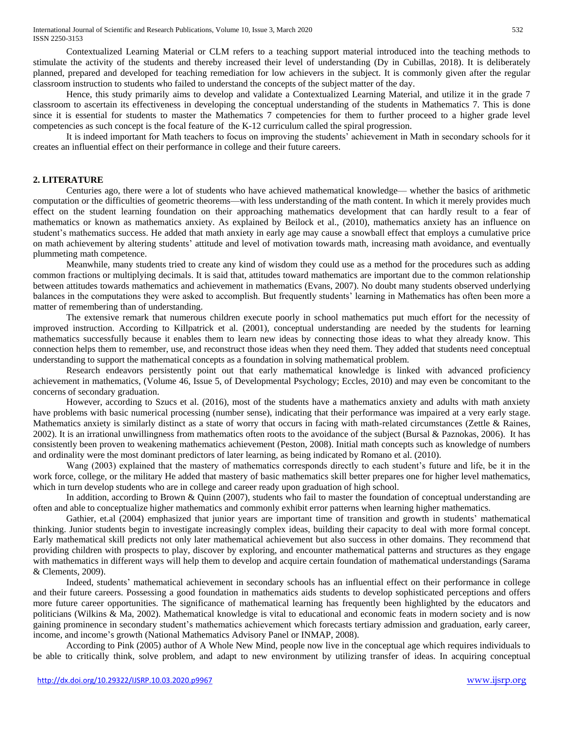Contextualized Learning Material or CLM refers to a teaching support material introduced into the teaching methods to stimulate the activity of the students and thereby increased their level of understanding (Dy in Cubillas, 2018). It is deliberately planned, prepared and developed for teaching remediation for low achievers in the subject. It is commonly given after the regular classroom instruction to students who failed to understand the concepts of the subject matter of the day.

Hence, this study primarily aims to develop and validate a Contextualized Learning Material, and utilize it in the grade 7 classroom to ascertain its effectiveness in developing the conceptual understanding of the students in Mathematics 7. This is done since it is essential for students to master the Mathematics 7 competencies for them to further proceed to a higher grade level competencies as such concept is the focal feature of the K-12 curriculum called the spiral progression.

It is indeed important for Math teachers to focus on improving the students' achievement in Math in secondary schools for it creates an influential effect on their performance in college and their future careers.

#### **2. LITERATURE**

Centuries ago, there were a lot of students who have achieved mathematical knowledge— whether the basics of arithmetic computation or the difficulties of geometric theorems—with less understanding of the math content. In which it merely provides much effect on the student learning foundation on their approaching mathematics development that can hardly result to a fear of mathematics or known as mathematics anxiety. As explained by Beilock et al., (2010), mathematics anxiety has an influence on student's mathematics success. He added that math anxiety in early age may cause a snowball effect that employs a cumulative price on math achievement by altering students' attitude and level of motivation towards math, increasing math avoidance, and eventually plummeting math competence.

Meanwhile, many students tried to create any kind of wisdom they could use as a method for the procedures such as adding common fractions or multiplying decimals. It is said that, attitudes toward mathematics are important due to the common relationship between attitudes towards mathematics and achievement in mathematics (Evans, 2007). No doubt many students observed underlying balances in the computations they were asked to accomplish. But frequently students' learning in Mathematics has often been more a matter of remembering than of understanding.

The extensive remark that numerous children execute poorly in school mathematics put much effort for the necessity of improved instruction. According to Killpatrick et al. (2001), conceptual understanding are needed by the students for learning mathematics successfully because it enables them to learn new ideas by connecting those ideas to what they already know. This connection helps them to remember, use, and reconstruct those ideas when they need them. They added that students need conceptual understanding to support the mathematical concepts as a foundation in solving mathematical problem.

Research endeavors persistently point out that early mathematical knowledge is linked with advanced proficiency achievement in mathematics, (Volume 46, Issue 5, of Developmental Psychology; Eccles, 2010) and may even be concomitant to the concerns of secondary graduation.

However, according to Szucs et al. (2016), most of the students have a mathematics anxiety and adults with math anxiety have problems with basic numerical processing (number sense), indicating that their performance was impaired at a very early stage. Mathematics anxiety is similarly distinct as a state of worry that occurs in facing with math-related circumstances (Zettle & Raines, 2002). It is an irrational unwillingness from mathematics often roots to the avoidance of the subject (Bursal & Paznokas, 2006). It has consistently been proven to weakening mathematics achievement (Peston, 2008). Initial math concepts such as knowledge of numbers and ordinality were the most dominant predictors of later learning, as being indicated by Romano et al. (2010).

Wang (2003) explained that the mastery of mathematics corresponds directly to each student's future and life, be it in the work force, college, or the military He added that mastery of basic mathematics skill better prepares one for higher level mathematics, which in turn develop students who are in college and career ready upon graduation of high school.

In addition, according to Brown & Quinn (2007), students who fail to master the foundation of conceptual understanding are often and able to conceptualize higher mathematics and commonly exhibit error patterns when learning higher mathematics.

Gathier, et.al (2004) emphasized that junior years are important time of transition and growth in students' mathematical thinking. Junior students begin to investigate increasingly complex ideas, building their capacity to deal with more formal concept. Early mathematical skill predicts not only later mathematical achievement but also success in other domains. They recommend that providing children with prospects to play, discover by exploring, and encounter mathematical patterns and structures as they engage with mathematics in different ways will help them to develop and acquire certain foundation of mathematical understandings (Sarama & Clements, 2009).

Indeed, students' mathematical achievement in secondary schools has an influential effect on their performance in college and their future careers. Possessing a good foundation in mathematics aids students to develop sophisticated perceptions and offers more future career opportunities. The significance of mathematical learning has frequently been highlighted by the educators and politicians (Wilkins & Ma, 2002). Mathematical knowledge is vital to educational and economic feats in modern society and is now gaining prominence in secondary student's mathematics achievement which forecasts tertiary admission and graduation, early career, income, and income's growth (National Mathematics Advisory Panel or INMAP, 2008).

According to Pink (2005) author of A Whole New Mind, people now live in the conceptual age which requires individuals to be able to critically think, solve problem, and adapt to new environment by utilizing transfer of ideas. In acquiring conceptual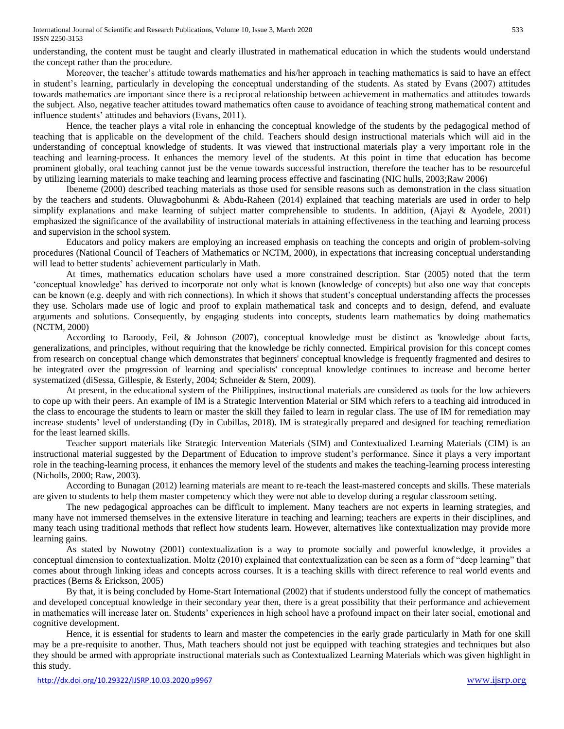understanding, the content must be taught and clearly illustrated in mathematical education in which the students would understand the concept rather than the procedure.

Moreover, the teacher's attitude towards mathematics and his/her approach in teaching mathematics is said to have an effect in student's learning, particularly in developing the conceptual understanding of the students. As stated by Evans (2007) attitudes towards mathematics are important since there is a reciprocal relationship between achievement in mathematics and attitudes towards the subject. Also, negative teacher attitudes toward mathematics often cause to avoidance of teaching strong mathematical content and influence students' attitudes and behaviors (Evans, 2011).

Hence, the teacher plays a vital role in enhancing the conceptual knowledge of the students by the pedagogical method of teaching that is applicable on the development of the child. Teachers should design instructional materials which will aid in the understanding of conceptual knowledge of students. It was viewed that instructional materials play a very important role in the teaching and learning-process. It enhances the memory level of the students. At this point in time that education has become prominent globally, oral teaching cannot just be the venue towards successful instruction, therefore the teacher has to be resourceful by utilizing learning materials to make teaching and learning process effective and fascinating (NIC hulls, 2003;Raw 2006)

Ibeneme (2000) described teaching materials as those used for sensible reasons such as demonstration in the class situation by the teachers and students. Oluwagbohunmi & Abdu-Raheen (2014) explained that teaching materials are used in order to help simplify explanations and make learning of subject matter comprehensible to students. In addition, (Ajayi & Ayodele, 2001) emphasized the significance of the availability of instructional materials in attaining effectiveness in the teaching and learning process and supervision in the school system.

Educators and policy makers are employing an increased emphasis on teaching the concepts and origin of problem-solving procedures (National Council of Teachers of Mathematics or NCTM, 2000), in expectations that increasing conceptual understanding will lead to better students' achievement particularly in Math.

At times, mathematics education scholars have used a more constrained description. Star (2005) noted that the term 'conceptual knowledge' has derived to incorporate not only what is known (knowledge of concepts) but also one way that concepts can be known (e.g. deeply and with rich connections). In which it shows that student's conceptual understanding affects the processes they use. Scholars made use of logic and proof to explain mathematical task and concepts and to design, defend, and evaluate arguments and solutions. Consequently, by engaging students into concepts, students learn mathematics by doing mathematics (NCTM, 2000)

According to Baroody, Feil, & Johnson (2007), conceptual knowledge must be distinct as 'knowledge about facts, generalizations, and principles, without requiring that the knowledge be richly connected. Empirical provision for this concept comes from research on conceptual change which demonstrates that beginners' conceptual knowledge is frequently fragmented and desires to be integrated over the progression of learning and specialists' conceptual knowledge continues to increase and become better systematized (diSessa, Gillespie, & Esterly, 2004; Schneider & Stern, 2009).

At present, in the educational system of the Philippines, instructional materials are considered as tools for the low achievers to cope up with their peers. An example of IM is a Strategic Intervention Material or SIM which refers to a teaching aid introduced in the class to encourage the students to learn or master the skill they failed to learn in regular class. The use of IM for remediation may increase students' level of understanding (Dy in Cubillas, 2018). IM is strategically prepared and designed for teaching remediation for the least learned skills.

Teacher support materials like Strategic Intervention Materials (SIM) and Contextualized Learning Materials (CIM) is an instructional material suggested by the Department of Education to improve student's performance. Since it plays a very important role in the teaching-learning process, it enhances the memory level of the students and makes the teaching-learning process interesting (Nicholls, 2000; Raw, 2003).

According to Bunagan (2012) learning materials are meant to re-teach the least-mastered concepts and skills. These materials are given to students to help them master competency which they were not able to develop during a regular classroom setting.

The new pedagogical approaches can be difficult to implement. Many teachers are not experts in learning strategies, and many have not immersed themselves in the extensive literature in teaching and learning; teachers are experts in their disciplines, and many teach using traditional methods that reflect how students learn. However, alternatives like contextualization may provide more learning gains.

As stated by Nowotny (2001) contextualization is a way to promote socially and powerful knowledge, it provides a conceptual dimension to contextualization. Moltz (2010) explained that contextualization can be seen as a form of "deep learning" that comes about through linking ideas and concepts across courses. It is a teaching skills with direct reference to real world events and practices (Berns & Erickson, 2005)

By that, it is being concluded by Home-Start International (2002) that if students understood fully the concept of mathematics and developed conceptual knowledge in their secondary year then, there is a great possibility that their performance and achievement in mathematics will increase later on. Students' experiences in high school have a profound impact on their later social, emotional and cognitive development.

Hence, it is essential for students to learn and master the competencies in the early grade particularly in Math for one skill may be a pre-requisite to another. Thus, Math teachers should not just be equipped with teaching strategies and techniques but also they should be armed with appropriate instructional materials such as Contextualized Learning Materials which was given highlight in this study.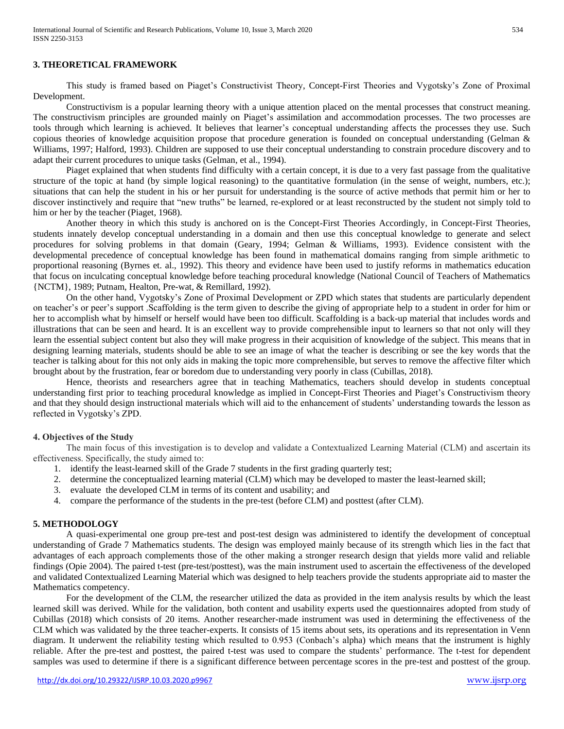#### **3. THEORETICAL FRAMEWORK**

This study is framed based on Piaget's Constructivist Theory, Concept-First Theories and Vygotsky's Zone of Proximal Development.

Constructivism is a popular learning theory with a unique attention placed on the mental processes that construct meaning. The constructivism principles are grounded mainly on Piaget's assimilation and accommodation processes. The two processes are tools through which learning is achieved. It believes that learner's conceptual understanding affects the processes they use. Such copious theories of knowledge acquisition propose that procedure generation is founded on conceptual understanding (Gelman  $\&$ Williams, 1997; Halford, 1993). Children are supposed to use their conceptual understanding to constrain procedure discovery and to adapt their current procedures to unique tasks (Gelman, et al., 1994).

Piaget explained that when students find difficulty with a certain concept, it is due to a very fast passage from the qualitative structure of the topic at hand (by simple logical reasoning) to the quantitative formulation (in the sense of weight, numbers, etc.); situations that can help the student in his or her pursuit for understanding is the source of active methods that permit him or her to discover instinctively and require that "new truths" be learned, re-explored or at least reconstructed by the student not simply told to him or her by the teacher (Piaget, 1968).

Another theory in which this study is anchored on is the Concept-First Theories Accordingly, in Concept-First Theories, students innately develop conceptual understanding in a domain and then use this conceptual knowledge to generate and select procedures for solving problems in that domain (Geary, 1994; Gelman & Williams, 1993). Evidence consistent with the developmental precedence of conceptual knowledge has been found in mathematical domains ranging from simple arithmetic to proportional reasoning (Byrnes et. al., 1992). This theory and evidence have been used to justify reforms in mathematics education that focus on inculcating conceptual knowledge before teaching procedural knowledge (National Council of Teachers of Mathematics {NCTM}, 1989; Putnam, Healton, Pre-wat, & Remillard, 1992).

On the other hand, Vygotsky's Zone of Proximal Development or ZPD which states that students are particularly dependent on teacher's or peer's support .Scaffolding is the term given to describe the giving of appropriate help to a student in order for him or her to accomplish what by himself or herself would have been too difficult. Scaffolding is a back-up material that includes words and illustrations that can be seen and heard. It is an excellent way to provide comprehensible input to learners so that not only will they learn the essential subject content but also they will make progress in their acquisition of knowledge of the subject. This means that in designing learning materials, students should be able to see an image of what the teacher is describing or see the key words that the teacher is talking about for this not only aids in making the topic more comprehensible, but serves to remove the affective filter which brought about by the frustration, fear or boredom due to understanding very poorly in class (Cubillas, 2018).

Hence, theorists and researchers agree that in teaching Mathematics, teachers should develop in students conceptual understanding first prior to teaching procedural knowledge as implied in Concept-First Theories and Piaget's Constructivism theory and that they should design instructional materials which will aid to the enhancement of students' understanding towards the lesson as reflected in Vygotsky's ZPD.

#### **4. Objectives of the Study**

The main focus of this investigation is to develop and validate a Contextualized Learning Material (CLM) and ascertain its effectiveness. Specifically, the study aimed to:

- 1. identify the least-learned skill of the Grade 7 students in the first grading quarterly test;
- 2. determine the conceptualized learning material (CLM) which may be developed to master the least-learned skill;
- 3. evaluate the developed CLM in terms of its content and usability; and
- 4. compare the performance of the students in the pre-test (before CLM) and posttest (after CLM).

#### **5. METHODOLOGY**

A quasi-experimental one group pre-test and post-test design was administered to identify the development of conceptual understanding of Grade 7 Mathematics students. The design was employed mainly because of its strength which lies in the fact that advantages of each approach complements those of the other making a stronger research design that yields more valid and reliable findings (Opie 2004). The paired t-test (pre-test/posttest), was the main instrument used to ascertain the effectiveness of the developed and validated Contextualized Learning Material which was designed to help teachers provide the students appropriate aid to master the Mathematics competency.

For the development of the CLM, the researcher utilized the data as provided in the item analysis results by which the least learned skill was derived. While for the validation, both content and usability experts used the questionnaires adopted from study of Cubillas (2018) which consists of 20 items. Another researcher-made instrument was used in determining the effectiveness of the CLM which was validated by the three teacher-experts. It consists of 15 items about sets, its operations and its representation in Venn diagram. It underwent the reliability testing which resulted to 0.953 (Conbach's alpha) which means that the instrument is highly reliable. After the pre-test and posttest, the paired t-test was used to compare the students' performance. The t-test for dependent samples was used to determine if there is a significant difference between percentage scores in the pre-test and posttest of the group.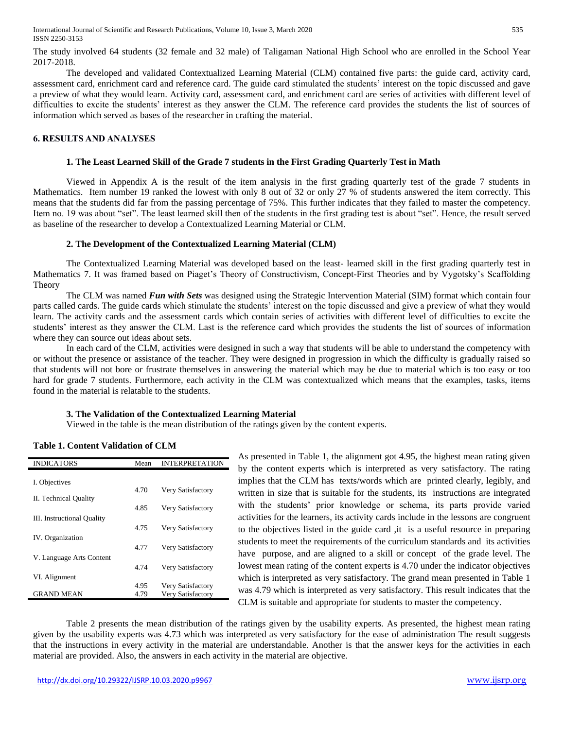The study involved 64 students (32 female and 32 male) of Taligaman National High School who are enrolled in the School Year 2017-2018.

The developed and validated Contextualized Learning Material (CLM) contained five parts: the guide card, activity card, assessment card, enrichment card and reference card. The guide card stimulated the students' interest on the topic discussed and gave a preview of what they would learn. Activity card, assessment card, and enrichment card are series of activities with different level of difficulties to excite the students' interest as they answer the CLM. The reference card provides the students the list of sources of information which served as bases of the researcher in crafting the material.

#### **6. RESULTS AND ANALYSES**

#### **1. The Least Learned Skill of the Grade 7 students in the First Grading Quarterly Test in Math**

Viewed in Appendix A is the result of the item analysis in the first grading quarterly test of the grade 7 students in Mathematics. Item number 19 ranked the lowest with only 8 out of 32 or only 27 % of students answered the item correctly. This means that the students did far from the passing percentage of 75%. This further indicates that they failed to master the competency. Item no. 19 was about "set". The least learned skill then of the students in the first grading test is about "set". Hence, the result served as baseline of the researcher to develop a Contextualized Learning Material or CLM.

#### **2. The Development of the Contextualized Learning Material (CLM)**

The Contextualized Learning Material was developed based on the least- learned skill in the first grading quarterly test in Mathematics 7. It was framed based on Piaget's Theory of Constructivism, Concept-First Theories and by Vygotsky's Scaffolding Theory

The CLM was named *Fun with Sets* was designed using the Strategic Intervention Material (SIM) format which contain four parts called cards. The guide cards which stimulate the students' interest on the topic discussed and give a preview of what they would learn. The activity cards and the assessment cards which contain series of activities with different level of difficulties to excite the students' interest as they answer the CLM. Last is the reference card which provides the students the list of sources of information where they can source out ideas about sets.

In each card of the CLM, activities were designed in such a way that students will be able to understand the competency with or without the presence or assistance of the teacher. They were designed in progression in which the difficulty is gradually raised so that students will not bore or frustrate themselves in answering the material which may be due to material which is too easy or too hard for grade 7 students. Furthermore, each activity in the CLM was contextualized which means that the examples, tasks, items found in the material is relatable to the students.

#### **3. The Validation of the Contextualized Learning Material**

Viewed in the table is the mean distribution of the ratings given by the content experts.

| <b>INDICATORS</b>          | Mean | <b>INTERPRETATION</b> |
|----------------------------|------|-----------------------|
|                            |      |                       |
| I. Objectives              |      |                       |
|                            | 4.70 | Very Satisfactory     |
| II. Technical Quality      |      |                       |
|                            | 4.85 | Very Satisfactory     |
| III. Instructional Quality |      |                       |
|                            | 4.75 | Very Satisfactory     |
| IV. Organization           |      |                       |
|                            | 4.77 | Very Satisfactory     |
| V. Language Arts Content   |      |                       |
|                            | 4.74 | Very Satisfactory     |
| VI. Alignment              |      |                       |
|                            | 4.95 | Very Satisfactory     |
| <b>GRAND MEAN</b>          | 4.79 | Very Satisfactory     |
|                            |      |                       |

## **Table 1. Content Validation of CLM**

As presented in Table 1, the alignment got 4.95, the highest mean rating given by the content experts which is interpreted as very satisfactory. The rating implies that the CLM has texts/words which are printed clearly, legibly, and written in size that is suitable for the students, its instructions are integrated with the students' prior knowledge or schema, its parts provide varied activities for the learners, its activity cards include in the lessons are congruent to the objectives listed in the guide card ,it is a useful resource in preparing students to meet the requirements of the curriculum standards and its activities have purpose, and are aligned to a skill or concept of the grade level. The lowest mean rating of the content experts is 4.70 under the indicator objectives which is interpreted as very satisfactory. The grand mean presented in Table 1 was 4.79 which is interpreted as very satisfactory. This result indicates that the CLM is suitable and appropriate for students to master the competency.

Table 2 presents the mean distribution of the ratings given by the usability experts. As presented, the highest mean rating given by the usability experts was 4.73 which was interpreted as very satisfactory for the ease of administration The result suggests that the instructions in every activity in the material are understandable. Another is that the answer keys for the activities in each material are provided. Also, the answers in each activity in the material are objective.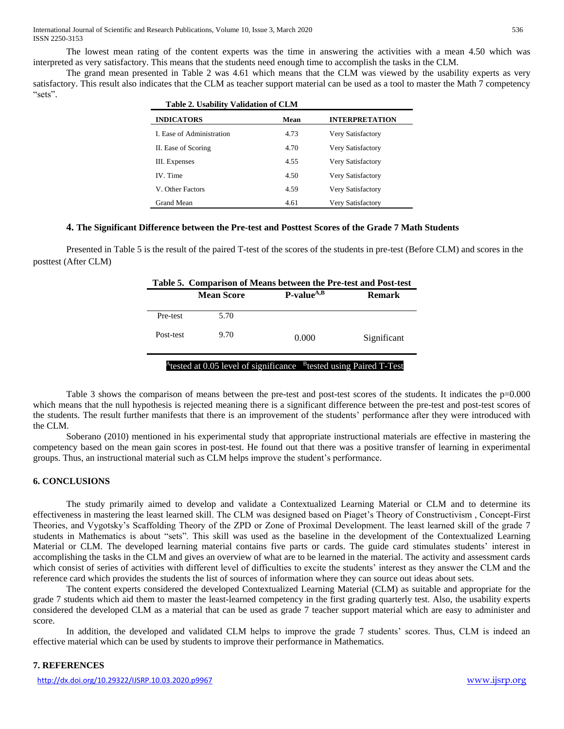The lowest mean rating of the content experts was the time in answering the activities with a mean 4.50 which was interpreted as very satisfactory. This means that the students need enough time to accomplish the tasks in the CLM.

The grand mean presented in Table 2 was 4.61 which means that the CLM was viewed by the usability experts as very satisfactory. This result also indicates that the CLM as teacher support material can be used as a tool to master the Math 7 competency "sets".

| <b>Table 2. Usability Validation of CLM</b> |      |                       |  |
|---------------------------------------------|------|-----------------------|--|
| <b>INDICATORS</b>                           | Mean | <b>INTERPRETATION</b> |  |
| I. Ease of Administration                   | 4.73 | Very Satisfactory     |  |
| II. Ease of Scoring                         | 4.70 | Very Satisfactory     |  |
| III. Expenses                               | 4.55 | Very Satisfactory     |  |
| IV. Time                                    | 4.50 | Very Satisfactory     |  |
| V. Other Factors                            | 4.59 | Very Satisfactory     |  |
| Grand Mean                                  | 4.61 | Very Satisfactory     |  |

## **4. The Significant Difference between the Pre-test and Posttest Scores of the Grade 7 Math Students**

Presented in Table 5 is the result of the paired T-test of the scores of the students in pre-test (Before CLM) and scores in the posttest (After CLM)

|                   |                 | Table 5. Comparison of Means between the Pre-test and Post-test                           |  |  |  |  |
|-------------------|-----------------|-------------------------------------------------------------------------------------------|--|--|--|--|
| <b>Mean Score</b> | $P-value^{A,B}$ | <b>Remark</b>                                                                             |  |  |  |  |
| 5.70              |                 |                                                                                           |  |  |  |  |
| 9.70              | 0.000           | Significant                                                                               |  |  |  |  |
|                   |                 |                                                                                           |  |  |  |  |
|                   |                 | <sup>A</sup> tested at 0.05 level of significance <sup>B</sup> tested using Paired T-Test |  |  |  |  |

Table 3 shows the comparison of means between the pre-test and post-test scores of the students. It indicates the p=0.000 which means that the null hypothesis is rejected meaning there is a significant difference between the pre-test and post-test scores of the students. The result further manifests that there is an improvement of the students' performance after they were introduced with the CLM.

Soberano (2010) mentioned in his experimental study that appropriate instructional materials are effective in mastering the competency based on the mean gain scores in post-test. He found out that there was a positive transfer of learning in experimental groups. Thus, an instructional material such as CLM helps improve the student's performance.

#### **6. CONCLUSIONS**

The study primarily aimed to develop and validate a Contextualized Learning Material or CLM and to determine its effectiveness in mastering the least learned skill. The CLM was designed based on Piaget's Theory of Constructivism , Concept-First Theories, and Vygotsky's Scaffolding Theory of the ZPD or Zone of Proximal Development. The least learned skill of the grade 7 students in Mathematics is about "sets". This skill was used as the baseline in the development of the Contextualized Learning Material or CLM. The developed learning material contains five parts or cards. The guide card stimulates students' interest in accomplishing the tasks in the CLM and gives an overview of what are to be learned in the material. The activity and assessment cards which consist of series of activities with different level of difficulties to excite the students' interest as they answer the CLM and the reference card which provides the students the list of sources of information where they can source out ideas about sets.

The content experts considered the developed Contextualized Learning Material (CLM) as suitable and appropriate for the grade 7 students which aid them to master the least-learned competency in the first grading quarterly test. Also, the usability experts considered the developed CLM as a material that can be used as grade 7 teacher support material which are easy to administer and score.

In addition, the developed and validated CLM helps to improve the grade 7 students' scores. Thus, CLM is indeed an effective material which can be used by students to improve their performance in Mathematics.

#### **7. REFERENCES**